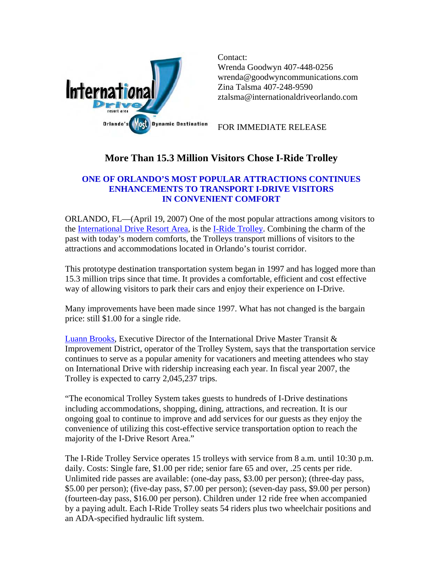

Contact: Wrenda Goodwyn 407-448-0256 wrenda@goodwyncommunications.com Zina Talsma 407-248-9590 [ztalsma@internationaldriveorlando.com](mailto:ztalsma@internationaldriveorlando.com) 

FOR IMMEDIATE RELEASE

## **More Than 15.3 Million Visitors Chose I-Ride Trolley**

## **ONE OF ORLANDO'S MOST POPULAR ATTRACTIONS CONTINUES ENHANCEMENTS TO TRANSPORT I-DRIVE VISITORS IN CONVENIENT COMFORT**

ORLANDO, FL—(April 19, 2007) One of the most popular attractions among visitors to the [International Drive Resort Area,](http://www.internationaldriveorlando.com/) is the [I-Ride Trolley.](http://www.iridetrolley.com/) Combining the charm of the past with today's modern comforts, the Trolleys transport millions of visitors to the attractions and accommodations located in Orlando's tourist corridor.

This prototype destination transportation system began in 1997 and has logged more than 15.3 million trips since that time. It provides a comfortable, efficient and cost effective way of allowing visitors to park their cars and enjoy their experience on I-Drive.

Many improvements have been made since 1997. What has not changed is the bargain price: still \$1.00 for a single ride.

[Luann Brooks](mailto:lbrooks@internationaldriveorlando.com), Executive Director of the International Drive Master Transit & Improvement District, operator of the Trolley System, says that the transportation service continues to serve as a popular amenity for vacationers and meeting attendees who stay on International Drive with ridership increasing each year. In fiscal year 2007, the Trolley is expected to carry 2,045,237 trips.

"The economical Trolley System takes guests to hundreds of I-Drive destinations including accommodations, shopping, dining, attractions, and recreation. It is our ongoing goal to continue to improve and add services for our guests as they enjoy the convenience of utilizing this cost-effective service transportation option to reach the majority of the I-Drive Resort Area."

The I-Ride Trolley Service operates 15 trolleys with service from 8 a.m. until 10:30 p.m. daily. Costs: Single fare, \$1.00 per ride; senior fare 65 and over, .25 cents per ride. Unlimited ride passes are available: (one-day pass, \$3.00 per person); (three-day pass, \$5.00 per person); (five-day pass, \$7.00 per person); (seven-day pass, \$9.00 per person) (fourteen-day pass, \$16.00 per person). Children under 12 ride free when accompanied by a paying adult. Each I-Ride Trolley seats 54 riders plus two wheelchair positions and an ADA-specified hydraulic lift system.